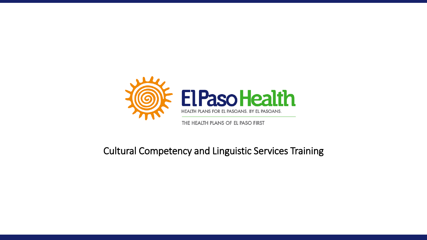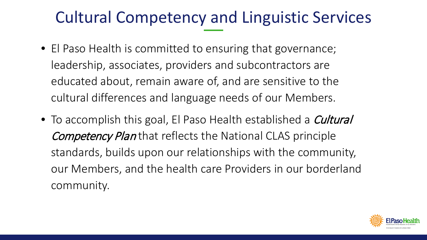- El Paso Health is committed to ensuring that governance; leadership, associates, providers and subcontractors are educated about, remain aware of, and are sensitive to the cultural differences and language needs of our Members.
- To accomplish this goal, El Paso Health established a *Cultural* Competency Plan that reflects the National CLAS principle standards, builds upon our relationships with the community, our Members, and the health care Providers in our borderland community.

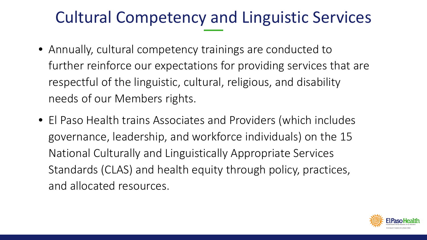- Annually, cultural competency trainings are conducted to further reinforce our expectations for providing services that are respectful of the linguistic, cultural, religious, and disability needs of our Members rights.
- El Paso Health trains Associates and Providers (which includes governance, leadership, and workforce individuals) on the 15 National Culturally and Linguistically Appropriate Services Standards (CLAS) and health equity through policy, practices, and allocated resources.

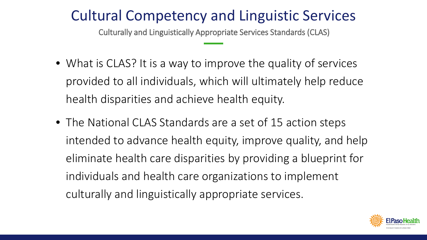Culturally and Linguistically Appropriate Services Standards (CLAS)

- What is CLAS? It is a way to improve the quality of services provided to all individuals, which will ultimately help reduce health disparities and achieve health equity.
- The National CLAS Standards are a set of 15 action steps intended to advance health equity, improve quality, and help eliminate health care disparities by providing a blueprint for individuals and health care organizations to implement culturally and linguistically appropriate services.

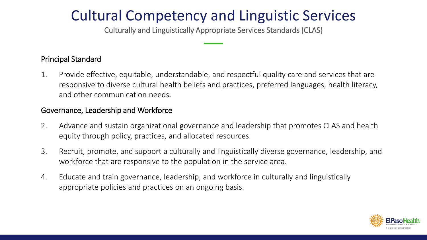Culturally and Linguistically Appropriate Services Standards (CLAS)

#### Principal Standard

1. Provide effective, equitable, understandable, and respectful quality care and services that are responsive to diverse cultural health beliefs and practices, preferred languages, health literacy, and other communication needs.

#### Governance, Leadership and Workforce

- 2. Advance and sustain organizational governance and leadership that promotes CLAS and health equity through policy, practices, and allocated resources.
- 3. Recruit, promote, and support a culturally and linguistically diverse governance, leadership, and workforce that are responsive to the population in the service area.
- 4. Educate and train governance, leadership, and workforce in culturally and linguistically appropriate policies and practices on an ongoing basis.

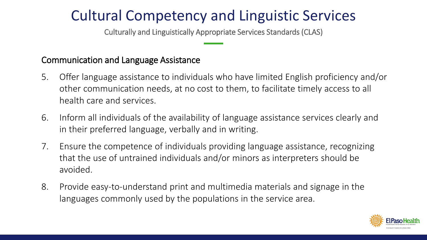Culturally and Linguistically Appropriate Services Standards (CLAS)

#### Communication and Language Assistance

- 5. Offer language assistance to individuals who have limited English proficiency and/or other communication needs, at no cost to them, to facilitate timely access to all health care and services.
- 6. Inform all individuals of the availability of language assistance services clearly and in their preferred language, verbally and in writing.
- 7. Ensure the competence of individuals providing language assistance, recognizing that the use of untrained individuals and/or minors as interpreters should be avoided.
- 8. Provide easy-to-understand print and multimedia materials and signage in the languages commonly used by the populations in the service area.

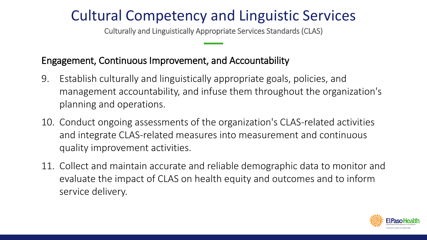Culturally and Linguistically Appropriate Services Standards (CLAS)

### Engagement, Continuous Improvement, and Accountability

- 9. Establish culturally and linguistically appropriate goals, policies, and management accountability, and infuse them throughout the organization's planning and operations.
- 10. Conduct ongoing assessments of the organization's CLAS-related activities and integrate CLAS-related measures into measurement and continuous quality improvement activities.
- 11. Collect and maintain accurate and reliable demographic data to monitor and evaluate the impact of CLAS on health equity and outcomes and to inform service delivery.

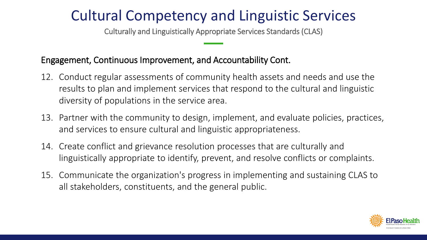Culturally and Linguistically Appropriate Services Standards (CLAS)

#### Engagement, Continuous Improvement, and Accountability Cont.

- 12. Conduct regular assessments of community health assets and needs and use the results to plan and implement services that respond to the cultural and linguistic diversity of populations in the service area.
- 13. Partner with the community to design, implement, and evaluate policies, practices, and services to ensure cultural and linguistic appropriateness.
- 14. Create conflict and grievance resolution processes that are culturally and linguistically appropriate to identify, prevent, and resolve conflicts or complaints.
- 15. Communicate the organization's progress in implementing and sustaining CLAS to all stakeholders, constituents, and the general public.

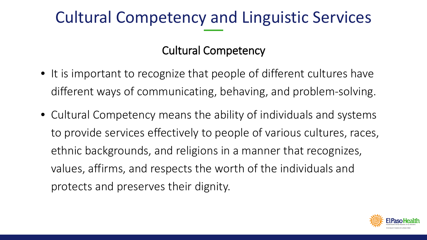### Cultural Competency

- It is important to recognize that people of different cultures have different ways of communicating, behaving, and problem-solving.
- Cultural Competency means the ability of individuals and systems to provide services effectively to people of various cultures, races, ethnic backgrounds, and religions in a manner that recognizes, values, affirms, and respects the worth of the individuals and protects and preserves their dignity.

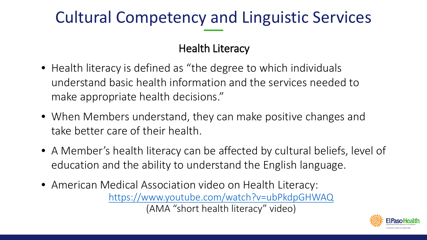### Health Literacy

- Health literacy is defined as "the degree to which individuals understand basic health information and the services needed to make appropriate health decisions."
- When Members understand, they can make positive changes and take better care of their health.
- A Member's health literacy can be affected by cultural beliefs, level of education and the ability to understand the English language.
- American Medical Association video on Health Literacy: <https://www.youtube.com/watch?v=ubPkdpGHWAQ> (AMA "short health literacy" video)

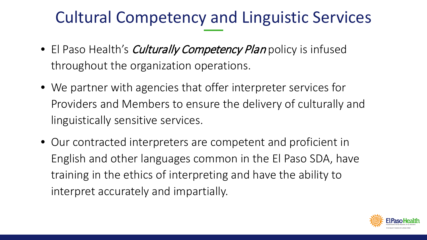- El Paso Health's *Culturally Competency Plan* policy is infused throughout the organization operations.
- We partner with agencies that offer interpreter services for Providers and Members to ensure the delivery of culturally and linguistically sensitive services.
- Our contracted interpreters are competent and proficient in English and other languages common in the El Paso SDA, have training in the ethics of interpreting and have the ability to interpret accurately and impartially.

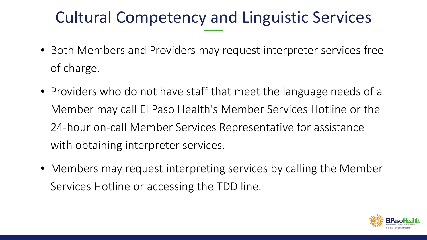- Both Members and Providers may request interpreter services free of charge.
- Providers who do not have staff that meet the language needs of a Member may call El Paso Health's Member Services Hotline or the 24-hour on-call Member Services Representative for assistance with obtaining interpreter services.
- Members may request interpreting services by calling the Member Services Hotline or accessing the TDD line.

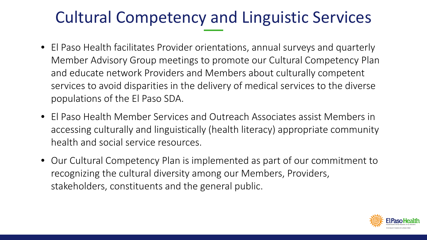- El Paso Health facilitates Provider orientations, annual surveys and quarterly Member Advisory Group meetings to promote our Cultural Competency Plan and educate network Providers and Members about culturally competent services to avoid disparities in the delivery of medical services to the diverse populations of the El Paso SDA.
- El Paso Health Member Services and Outreach Associates assist Members in accessing culturally and linguistically (health literacy) appropriate community health and social service resources.
- Our Cultural Competency Plan is implemented as part of our commitment to recognizing the cultural diversity among our Members, Providers, stakeholders, constituents and the general public.

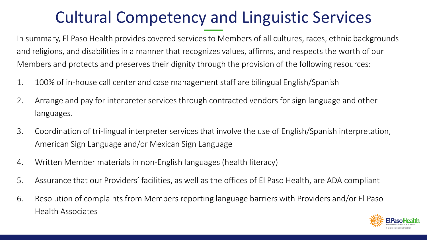In summary, El Paso Health provides covered services to Members of all cultures, races, ethnic backgrounds and religions, and disabilities in a manner that recognizes values, affirms, and respects the worth of our Members and protects and preserves their dignity through the provision of the following resources:

- 1. 100% of in-house call center and case management staff are bilingual English/Spanish
- 2. Arrange and pay for interpreter services through contracted vendors for sign language and other languages.
- 3. Coordination of tri-lingual interpreter services that involve the use of English/Spanish interpretation, American Sign Language and/or Mexican Sign Language
- 4. Written Member materials in non-English languages (health literacy)
- 5. Assurance that our Providers' facilities, as well as the offices of El Paso Health, are ADA compliant
- 6. Resolution of complaints from Members reporting language barriers with Providers and/or El Paso Health Associates